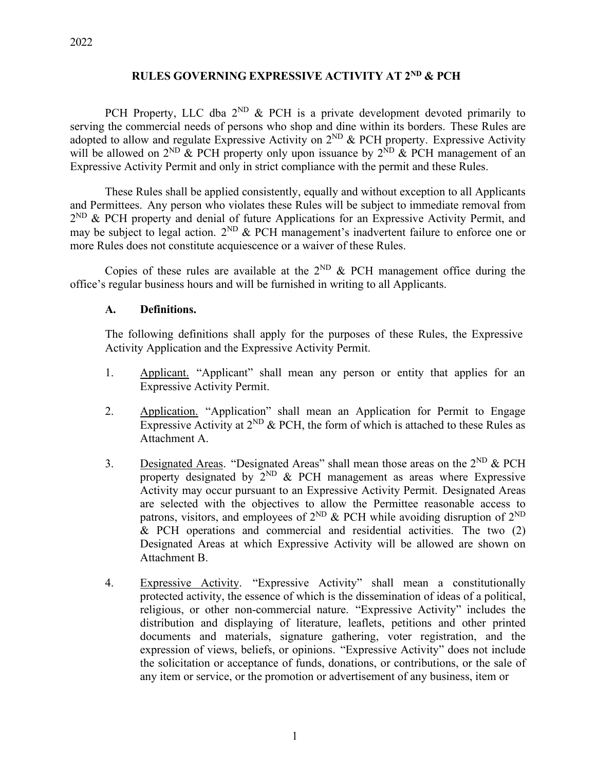## **RULES GOVERNING EXPRESSIVE ACTIVITY AT 2ND & PCH**

PCH Property, LLC dba  $2^{ND}$  & PCH is a private development devoted primarily to serving the commercial needs of persons who shop and dine within its borders. These Rules are adopted to allow and regulate Expressive Activity on  $2^{ND}$  & PCH property. Expressive Activity will be allowed on  $2^{ND}$  & PCH property only upon issuance by  $2^{ND}$  & PCH management of an Expressive Activity Permit and only in strict compliance with the permit and these Rules.

These Rules shall be applied consistently, equally and without exception to all Applicants and Permittees. Any person who violates these Rules will be subject to immediate removal from  $2^{ND}$  & PCH property and denial of future Applications for an Expressive Activity Permit, and may be subject to legal action. 2<sup>ND</sup> & PCH management's inadvertent failure to enforce one or more Rules does not constitute acquiescence or a waiver of these Rules.

Copies of these rules are available at the  $2^{ND}$  & PCH management office during the office's regular business hours and will be furnished in writing to all Applicants.

#### **A. Definitions.**

The following definitions shall apply for the purposes of these Rules, the Expressive Activity Application and the Expressive Activity Permit.

- 1. Applicant. "Applicant" shall mean any person or entity that applies for an Expressive Activity Permit.
- 2. Application. "Application" shall mean an Application for Permit to Engage Expressive Activity at  $2^{ND}$  & PCH, the form of which is attached to these Rules as Attachment A.
- 3. Designated Areas. "Designated Areas" shall mean those areas on the  $2^{ND}$  & PCH property designated by  $2^{ND}$  & PCH management as areas where Expressive Activity may occur pursuant to an Expressive Activity Permit. Designated Areas are selected with the objectives to allow the Permittee reasonable access to patrons, visitors, and employees of  $2^{ND}$  & PCH while avoiding disruption of  $2^{ND}$ & PCH operations and commercial and residential activities. The two (2) Designated Areas at which Expressive Activity will be allowed are shown on Attachment B.
- 4. Expressive Activity. "Expressive Activity" shall mean a constitutionally protected activity, the essence of which is the dissemination of ideas of a political, religious, or other non-commercial nature. "Expressive Activity" includes the distribution and displaying of literature, leaflets, petitions and other printed documents and materials, signature gathering, voter registration, and the expression of views, beliefs, or opinions. "Expressive Activity" does not include the solicitation or acceptance of funds, donations, or contributions, or the sale of any item or service, or the promotion or advertisement of any business, item or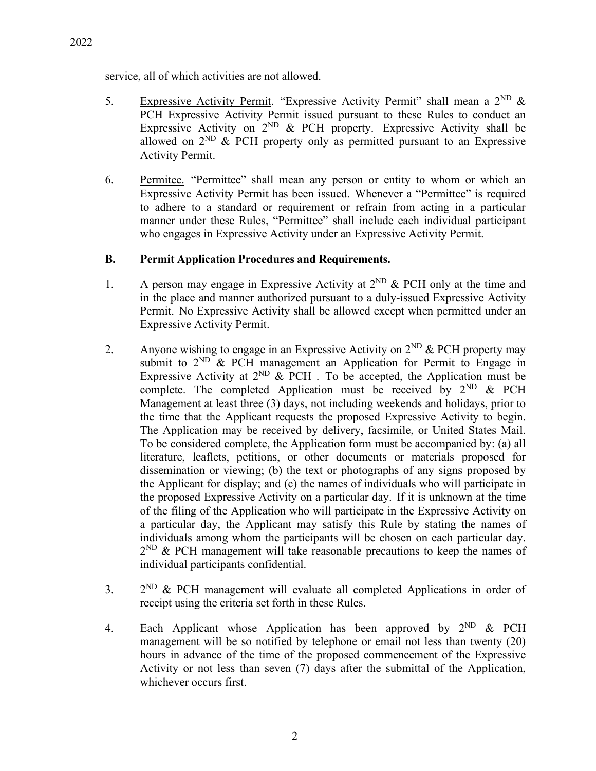service, all of which activities are not allowed.

- 5. Expressive Activity Permit. "Expressive Activity Permit" shall mean a  $2^{ND}$  & PCH Expressive Activity Permit issued pursuant to these Rules to conduct an Expressive Activity on  $2^{ND}$  & PCH property. Expressive Activity shall be allowed on  $2^{ND}$  & PCH property only as permitted pursuant to an Expressive Activity Permit.
- 6. Permitee. "Permittee" shall mean any person or entity to whom or which an Expressive Activity Permit has been issued. Whenever a "Permittee" is required to adhere to a standard or requirement or refrain from acting in a particular manner under these Rules, "Permittee" shall include each individual participant who engages in Expressive Activity under an Expressive Activity Permit.

#### **B. Permit Application Procedures and Requirements.**

- 1. A person may engage in Expressive Activity at  $2^{ND}$  & PCH only at the time and in the place and manner authorized pursuant to a duly-issued Expressive Activity Permit. No Expressive Activity shall be allowed except when permitted under an Expressive Activity Permit.
- 2. Anyone wishing to engage in an Expressive Activity on  $2^{ND}$  & PCH property may submit to  $2^{ND}$  & PCH management an Application for Permit to Engage in Expressive Activity at  $2^{ND}$  & PCH. To be accepted, the Application must be complete. The completed Application must be received by  $2^{ND}$  & PCH Management at least three (3) days, not including weekends and holidays, prior to the time that the Applicant requests the proposed Expressive Activity to begin. The Application may be received by delivery, facsimile, or United States Mail. To be considered complete, the Application form must be accompanied by: (a) all literature, leaflets, petitions, or other documents or materials proposed for dissemination or viewing; (b) the text or photographs of any signs proposed by the Applicant for display; and (c) the names of individuals who will participate in the proposed Expressive Activity on a particular day. If it is unknown at the time of the filing of the Application who will participate in the Expressive Activity on a particular day, the Applicant may satisfy this Rule by stating the names of individuals among whom the participants will be chosen on each particular day.  $2^{ND}$  & PCH management will take reasonable precautions to keep the names of individual participants confidential.
- 3.  $2^{ND}$  & PCH management will evaluate all completed Applications in order of receipt using the criteria set forth in these Rules.
- 4. Each Applicant whose Application has been approved by  $2^{ND}$  & PCH management will be so notified by telephone or email not less than twenty (20) hours in advance of the time of the proposed commencement of the Expressive Activity or not less than seven (7) days after the submittal of the Application, whichever occurs first.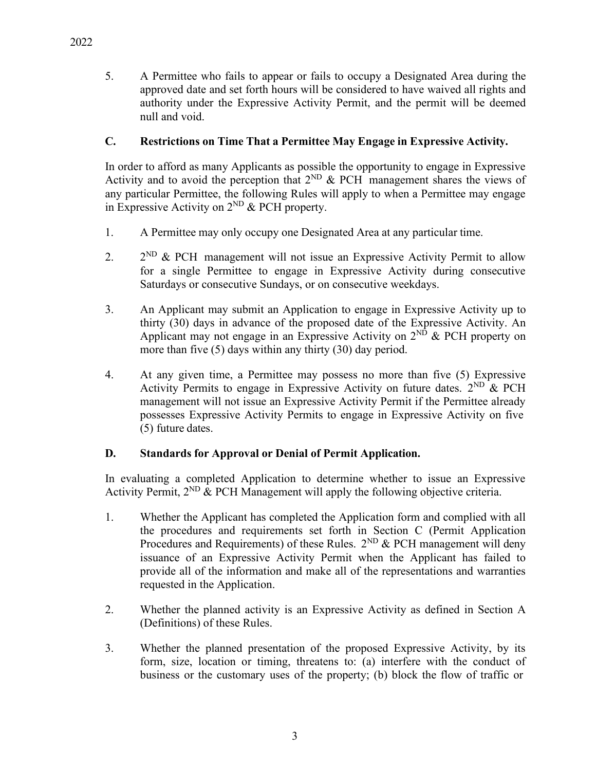5. A Permittee who fails to appear or fails to occupy a Designated Area during the approved date and set forth hours will be considered to have waived all rights and authority under the Expressive Activity Permit, and the permit will be deemed null and void.

## **C. Restrictions on Time That a Permittee May Engage in Expressive Activity.**

In order to afford as many Applicants as possible the opportunity to engage in Expressive Activity and to avoid the perception that  $2^{ND}$  & PCH management shares the views of any particular Permittee, the following Rules will apply to when a Permittee may engage in Expressive Activity on  $2^{ND}$  & PCH property.

- 1. A Permittee may only occupy one Designated Area at any particular time.
- 2.  $2^{ND}$  & PCH management will not issue an Expressive Activity Permit to allow for a single Permittee to engage in Expressive Activity during consecutive Saturdays or consecutive Sundays, or on consecutive weekdays.
- 3. An Applicant may submit an Application to engage in Expressive Activity up to thirty (30) days in advance of the proposed date of the Expressive Activity. An Applicant may not engage in an Expressive Activity on  $2^{ND}$  & PCH property on more than five (5) days within any thirty (30) day period.
- 4. At any given time, a Permittee may possess no more than five (5) Expressive Activity Permits to engage in Expressive Activity on future dates.  $2^{ND}$  & PCH management will not issue an Expressive Activity Permit if the Permittee already possesses Expressive Activity Permits to engage in Expressive Activity on five (5) future dates.

# **D. Standards for Approval or Denial of Permit Application.**

In evaluating a completed Application to determine whether to issue an Expressive Activity Permit,  $2^{ND}$  & PCH Management will apply the following objective criteria.

- 1. Whether the Applicant has completed the Application form and complied with all the procedures and requirements set forth in Section C (Permit Application Procedures and Requirements) of these Rules.  $2^{ND}$  & PCH management will deny issuance of an Expressive Activity Permit when the Applicant has failed to provide all of the information and make all of the representations and warranties requested in the Application.
- 2. Whether the planned activity is an Expressive Activity as defined in Section A (Definitions) of these Rules.
- 3. Whether the planned presentation of the proposed Expressive Activity, by its form, size, location or timing, threatens to: (a) interfere with the conduct of business or the customary uses of the property; (b) block the flow of traffic or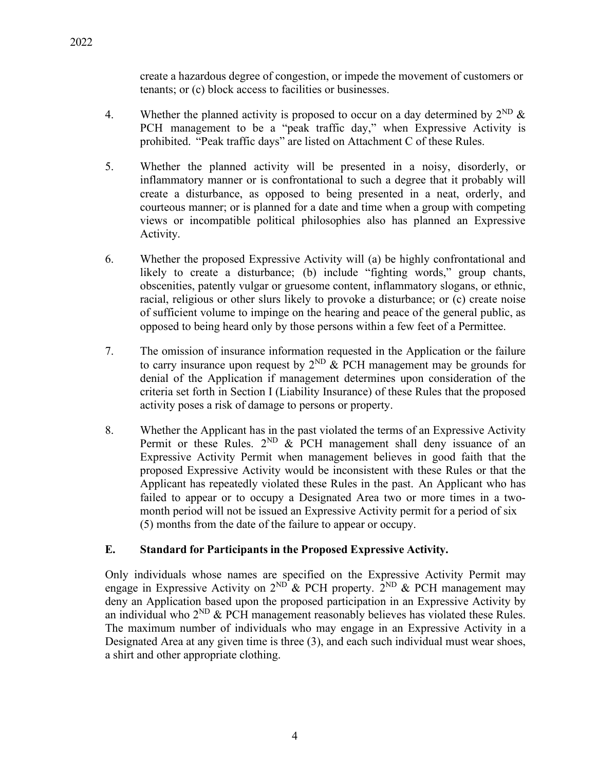create a hazardous degree of congestion, or impede the movement of customers or tenants; or (c) block access to facilities or businesses.

- 4. Whether the planned activity is proposed to occur on a day determined by  $2^{ND} \&$ PCH management to be a "peak traffic day," when Expressive Activity is prohibited. "Peak traffic days" are listed on Attachment C of these Rules.
- 5. Whether the planned activity will be presented in a noisy, disorderly, or inflammatory manner or is confrontational to such a degree that it probably will create a disturbance, as opposed to being presented in a neat, orderly, and courteous manner; or is planned for a date and time when a group with competing views or incompatible political philosophies also has planned an Expressive Activity.
- 6. Whether the proposed Expressive Activity will (a) be highly confrontational and likely to create a disturbance; (b) include "fighting words," group chants, obscenities, patently vulgar or gruesome content, inflammatory slogans, or ethnic, racial, religious or other slurs likely to provoke a disturbance; or (c) create noise of sufficient volume to impinge on the hearing and peace of the general public, as opposed to being heard only by those persons within a few feet of a Permittee.
- 7. The omission of insurance information requested in the Application or the failure to carry insurance upon request by  $2^{ND}$  & PCH management may be grounds for denial of the Application if management determines upon consideration of the criteria set forth in Section I (Liability Insurance) of these Rules that the proposed activity poses a risk of damage to persons or property.
- 8. Whether the Applicant has in the past violated the terms of an Expressive Activity Permit or these Rules.  $2^{ND}$  & PCH management shall deny issuance of an Expressive Activity Permit when management believes in good faith that the proposed Expressive Activity would be inconsistent with these Rules or that the Applicant has repeatedly violated these Rules in the past. An Applicant who has failed to appear or to occupy a Designated Area two or more times in a twomonth period will not be issued an Expressive Activity permit for a period of six (5) months from the date of the failure to appear or occupy.

### **E. Standard for Participants in the Proposed Expressive Activity.**

Only individuals whose names are specified on the Expressive Activity Permit may engage in Expressive Activity on  $2^{ND}$  & PCH property.  $2^{ND}$  & PCH management may deny an Application based upon the proposed participation in an Expressive Activity by an individual who  $2^{ND}$  & PCH management reasonably believes has violated these Rules. The maximum number of individuals who may engage in an Expressive Activity in a Designated Area at any given time is three (3), and each such individual must wear shoes, a shirt and other appropriate clothing.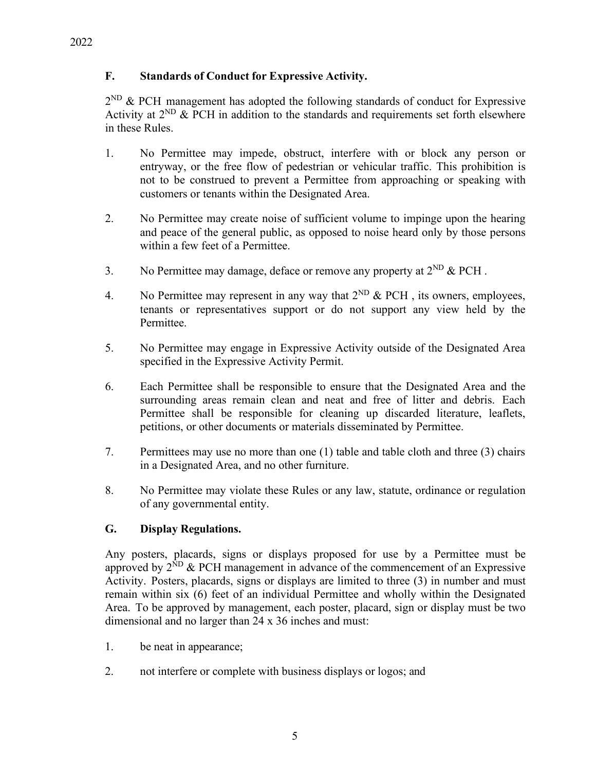### **F. Standards of Conduct for Expressive Activity.**

 $2^{ND}$  & PCH management has adopted the following standards of conduct for Expressive Activity at  $2^{ND}$  & PCH in addition to the standards and requirements set forth elsewhere in these Rules.

- 1. No Permittee may impede, obstruct, interfere with or block any person or entryway, or the free flow of pedestrian or vehicular traffic. This prohibition is not to be construed to prevent a Permittee from approaching or speaking with customers or tenants within the Designated Area.
- 2. No Permittee may create noise of sufficient volume to impinge upon the hearing and peace of the general public, as opposed to noise heard only by those persons within a few feet of a Permittee.
- 3. No Permittee may damage, deface or remove any property at  $2^{ND}$  & PCH.
- 4. No Permittee may represent in any way that  $2^{ND}$  & PCH, its owners, employees, tenants or representatives support or do not support any view held by the Permittee.
- 5. No Permittee may engage in Expressive Activity outside of the Designated Area specified in the Expressive Activity Permit.
- 6. Each Permittee shall be responsible to ensure that the Designated Area and the surrounding areas remain clean and neat and free of litter and debris. Each Permittee shall be responsible for cleaning up discarded literature, leaflets, petitions, or other documents or materials disseminated by Permittee.
- 7. Permittees may use no more than one (1) table and table cloth and three (3) chairs in a Designated Area, and no other furniture.
- 8. No Permittee may violate these Rules or any law, statute, ordinance or regulation of any governmental entity.

## **G. Display Regulations.**

Any posters, placards, signs or displays proposed for use by a Permittee must be approved by  $2^{ND}$  & PCH management in advance of the commencement of an Expressive Activity. Posters, placards, signs or displays are limited to three (3) in number and must remain within six (6) feet of an individual Permittee and wholly within the Designated Area. To be approved by management, each poster, placard, sign or display must be two dimensional and no larger than 24 x 36 inches and must:

- 1. be neat in appearance;
- 2. not interfere or complete with business displays or logos; and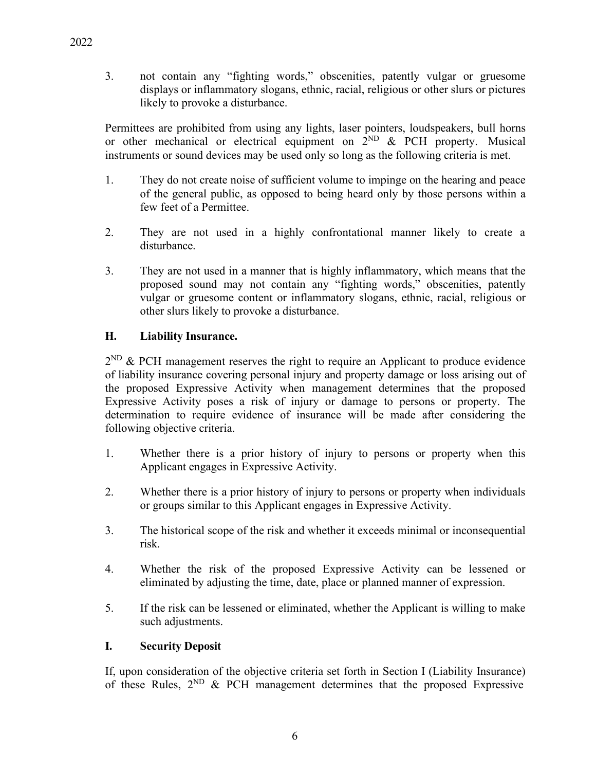3. not contain any "fighting words," obscenities, patently vulgar or gruesome displays or inflammatory slogans, ethnic, racial, religious or other slurs or pictures likely to provoke a disturbance.

Permittees are prohibited from using any lights, laser pointers, loudspeakers, bull horns or other mechanical or electrical equipment on  $2^{ND}$  & PCH property. Musical instruments or sound devices may be used only so long as the following criteria is met.

- 1. They do not create noise of sufficient volume to impinge on the hearing and peace of the general public, as opposed to being heard only by those persons within a few feet of a Permittee.
- 2. They are not used in a highly confrontational manner likely to create a disturbance.
- 3. They are not used in a manner that is highly inflammatory, which means that the proposed sound may not contain any "fighting words," obscenities, patently vulgar or gruesome content or inflammatory slogans, ethnic, racial, religious or other slurs likely to provoke a disturbance.

## **H. Liability Insurance.**

 $2^{ND}$  & PCH management reserves the right to require an Applicant to produce evidence of liability insurance covering personal injury and property damage or loss arising out of the proposed Expressive Activity when management determines that the proposed Expressive Activity poses a risk of injury or damage to persons or property. The determination to require evidence of insurance will be made after considering the following objective criteria.

- 1. Whether there is a prior history of injury to persons or property when this Applicant engages in Expressive Activity.
- 2. Whether there is a prior history of injury to persons or property when individuals or groups similar to this Applicant engages in Expressive Activity.
- 3. The historical scope of the risk and whether it exceeds minimal or inconsequential risk.
- 4. Whether the risk of the proposed Expressive Activity can be lessened or eliminated by adjusting the time, date, place or planned manner of expression.
- 5. If the risk can be lessened or eliminated, whether the Applicant is willing to make such adjustments.

### **I. Security Deposit**

If, upon consideration of the objective criteria set forth in Section I (Liability Insurance) of these Rules, 2ND & PCH management determines that the proposed Expressive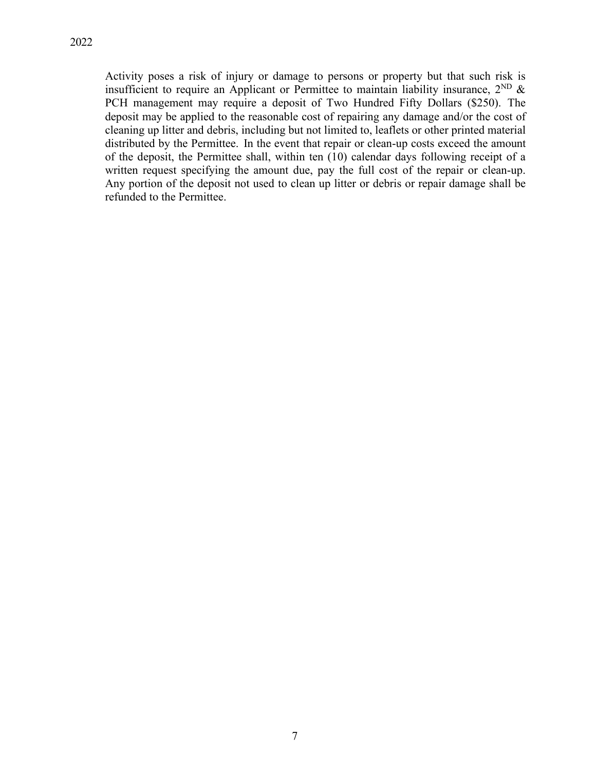Activity poses a risk of injury or damage to persons or property but that such risk is insufficient to require an Applicant or Permittee to maintain liability insurance,  $2^{ND}$  & PCH management may require a deposit of Two Hundred Fifty Dollars (\$250). The deposit may be applied to the reasonable cost of repairing any damage and/or the cost of cleaning up litter and debris, including but not limited to, leaflets or other printed material distributed by the Permittee. In the event that repair or clean-up costs exceed the amount of the deposit, the Permittee shall, within ten (10) calendar days following receipt of a written request specifying the amount due, pay the full cost of the repair or clean-up. Any portion of the deposit not used to clean up litter or debris or repair damage shall be refunded to the Permittee.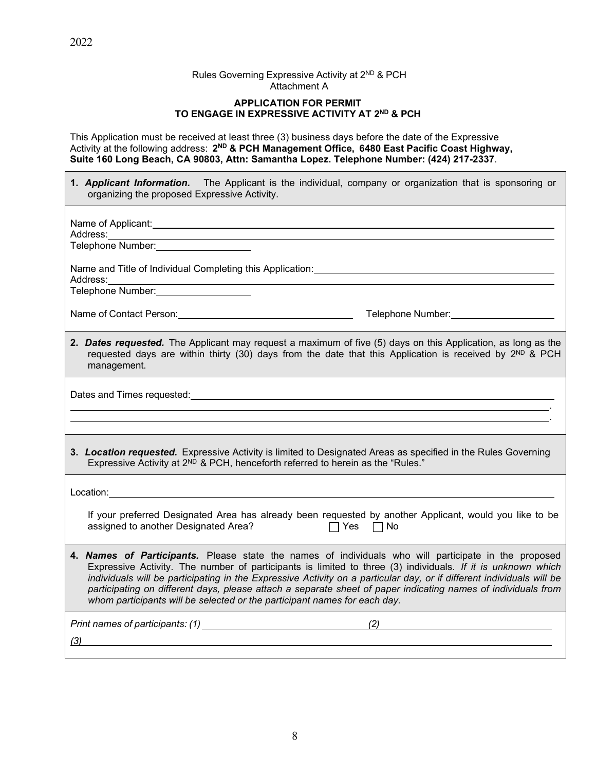#### Rules Governing Expressive Activity at 2<sup>ND</sup> & PCH Attachment A

#### **APPLICATION FOR PERMIT TO ENGAGE IN EXPRESSIVE ACTIVITY AT 2ND & PCH**

This Application must be received at least three (3) business days before the date of the Expressive Activity at the following address: **2ND & PCH Management Office, 6480 East Pacific Coast Highway, Suite 160 Long Beach, CA 90803, Attn: Samantha Lopez. Telephone Number: (424) 217-2337**.

| <b>1. Applicant Information.</b> The Applicant is the individual, company or organization that is sponsoring or<br>organizing the proposed Expressive Activity.                                                                                                                                                                                                                                                                                                                                                                            |  |
|--------------------------------------------------------------------------------------------------------------------------------------------------------------------------------------------------------------------------------------------------------------------------------------------------------------------------------------------------------------------------------------------------------------------------------------------------------------------------------------------------------------------------------------------|--|
| Name of Applicant: <u>example and a series of the series of the series of the series of the series of the series of the series of the series of the series of the series of the series of the series of the series of the series</u><br>Telephone Number: __________________                                                                                                                                                                                                                                                               |  |
|                                                                                                                                                                                                                                                                                                                                                                                                                                                                                                                                            |  |
| Name of Contact Person: Name of Contact Person: Name of Contact Person: Name of Contact Person: Name of Contact Person: Name of Contact Person: Name of Contact Person: Name of Contact Person: Name of Contact Person of Cont                                                                                                                                                                                                                                                                                                             |  |
| 2. Dates requested. The Applicant may request a maximum of five (5) days on this Application, as long as the<br>requested days are within thirty (30) days from the date that this Application is received by $2^{ND}$ & PCH<br>management.                                                                                                                                                                                                                                                                                                |  |
| Dates and Times requested: <b>All any of the Contract Contract Contract Contract Contract Contract Contract Contract Contract Contract Contract Contract Contract Contract Contract Contract Contract Contract Contract Contract</b>                                                                                                                                                                                                                                                                                                       |  |
| 3. Location requested. Expressive Activity is limited to Designated Areas as specified in the Rules Governing<br>Expressive Activity at 2 <sup>ND</sup> & PCH, henceforth referred to herein as the "Rules."                                                                                                                                                                                                                                                                                                                               |  |
|                                                                                                                                                                                                                                                                                                                                                                                                                                                                                                                                            |  |
| If your preferred Designated Area has already been requested by another Applicant, would you like to be<br>assigned to another Designated Area?<br>Mo⊔ Pres Dino                                                                                                                                                                                                                                                                                                                                                                           |  |
| 4. Names of Participants. Please state the names of individuals who will participate in the proposed<br>Expressive Activity. The number of participants is limited to three (3) individuals. If it is unknown which<br>individuals will be participating in the Expressive Activity on a particular day, or if different individuals will be<br>participating on different days, please attach a separate sheet of paper indicating names of individuals from<br>whom participants will be selected or the participant names for each day. |  |
| (2)<br>(3)                                                                                                                                                                                                                                                                                                                                                                                                                                                                                                                                 |  |

 $\overline{\phantom{0}}$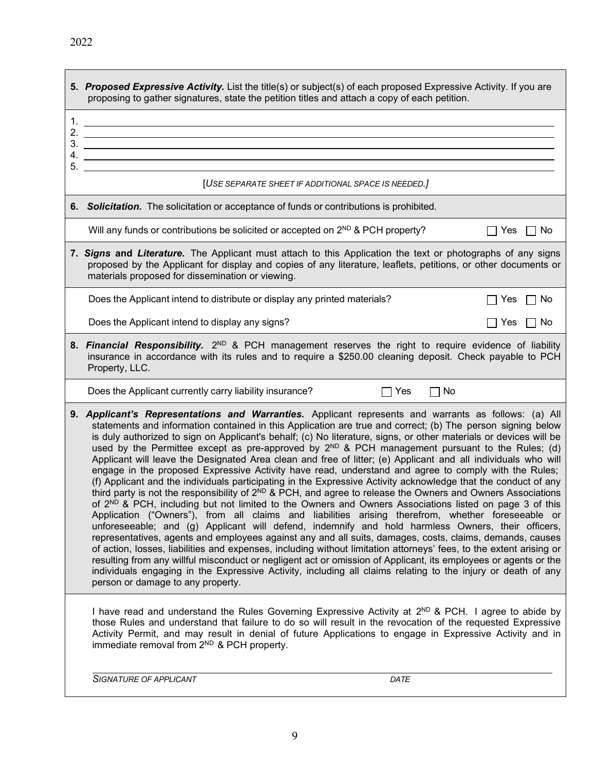|    | 5. Proposed Expressive Activity. List the title(s) or subject(s) of each proposed Expressive Activity. If you are<br>proposing to gather signatures, state the petition titles and attach a copy of each petition.                                                                                                                                                                                                                                                                                                                                                                                                                                                                                                                                                                                                                                                                                                                                                                                                                                                                                                                                                                                                                                                                                                                                                                                                                                                                                                                                                                                                                                                                                                                                                |
|----|-------------------------------------------------------------------------------------------------------------------------------------------------------------------------------------------------------------------------------------------------------------------------------------------------------------------------------------------------------------------------------------------------------------------------------------------------------------------------------------------------------------------------------------------------------------------------------------------------------------------------------------------------------------------------------------------------------------------------------------------------------------------------------------------------------------------------------------------------------------------------------------------------------------------------------------------------------------------------------------------------------------------------------------------------------------------------------------------------------------------------------------------------------------------------------------------------------------------------------------------------------------------------------------------------------------------------------------------------------------------------------------------------------------------------------------------------------------------------------------------------------------------------------------------------------------------------------------------------------------------------------------------------------------------------------------------------------------------------------------------------------------------|
| 5. |                                                                                                                                                                                                                                                                                                                                                                                                                                                                                                                                                                                                                                                                                                                                                                                                                                                                                                                                                                                                                                                                                                                                                                                                                                                                                                                                                                                                                                                                                                                                                                                                                                                                                                                                                                   |
|    | [USE SEPARATE SHEET IF ADDITIONAL SPACE IS NEEDED.]                                                                                                                                                                                                                                                                                                                                                                                                                                                                                                                                                                                                                                                                                                                                                                                                                                                                                                                                                                                                                                                                                                                                                                                                                                                                                                                                                                                                                                                                                                                                                                                                                                                                                                               |
|    | 6. Solicitation. The solicitation or acceptance of funds or contributions is prohibited.                                                                                                                                                                                                                                                                                                                                                                                                                                                                                                                                                                                                                                                                                                                                                                                                                                                                                                                                                                                                                                                                                                                                                                                                                                                                                                                                                                                                                                                                                                                                                                                                                                                                          |
|    | Will any funds or contributions be solicited or accepted on 2 <sup>ND</sup> & PCH property?<br><b>Yes</b><br>No.<br>$\blacksquare$                                                                                                                                                                                                                                                                                                                                                                                                                                                                                                                                                                                                                                                                                                                                                                                                                                                                                                                                                                                                                                                                                                                                                                                                                                                                                                                                                                                                                                                                                                                                                                                                                                |
|    | 7. Signs and Literature. The Applicant must attach to this Application the text or photographs of any signs<br>proposed by the Applicant for display and copies of any literature, leaflets, petitions, or other documents or<br>materials proposed for dissemination or viewing.                                                                                                                                                                                                                                                                                                                                                                                                                                                                                                                                                                                                                                                                                                                                                                                                                                                                                                                                                                                                                                                                                                                                                                                                                                                                                                                                                                                                                                                                                 |
|    | Does the Applicant intend to distribute or display any printed materials?<br>$\Box$ No<br><b>Yes</b>                                                                                                                                                                                                                                                                                                                                                                                                                                                                                                                                                                                                                                                                                                                                                                                                                                                                                                                                                                                                                                                                                                                                                                                                                                                                                                                                                                                                                                                                                                                                                                                                                                                              |
|    | Does the Applicant intend to display any signs?<br>Yes $\Box$ No                                                                                                                                                                                                                                                                                                                                                                                                                                                                                                                                                                                                                                                                                                                                                                                                                                                                                                                                                                                                                                                                                                                                                                                                                                                                                                                                                                                                                                                                                                                                                                                                                                                                                                  |
|    | 8. Financial Responsibility. 2 <sup>ND</sup> & PCH management reserves the right to require evidence of liability<br>insurance in accordance with its rules and to require a \$250.00 cleaning deposit. Check payable to PCH<br>Property, LLC.                                                                                                                                                                                                                                                                                                                                                                                                                                                                                                                                                                                                                                                                                                                                                                                                                                                                                                                                                                                                                                                                                                                                                                                                                                                                                                                                                                                                                                                                                                                    |
|    | Does the Applicant currently carry liability insurance?<br>Yes<br>No                                                                                                                                                                                                                                                                                                                                                                                                                                                                                                                                                                                                                                                                                                                                                                                                                                                                                                                                                                                                                                                                                                                                                                                                                                                                                                                                                                                                                                                                                                                                                                                                                                                                                              |
|    | 9. Applicant's Representations and Warranties. Applicant represents and warrants as follows: (a) All<br>statements and information contained in this Application are true and correct; (b) The person signing below<br>is duly authorized to sign on Applicant's behalf; (c) No literature, signs, or other materials or devices will be<br>used by the Permittee except as pre-approved by $2^{ND}$ & PCH management pursuant to the Rules; (d)<br>Applicant will leave the Designated Area clean and free of litter; (e) Applicant and all individuals who will<br>engage in the proposed Expressive Activity have read, understand and agree to comply with the Rules;<br>(f) Applicant and the individuals participating in the Expressive Activity acknowledge that the conduct of any<br>third party is not the responsibility of 2 <sup>ND</sup> & PCH, and agree to release the Owners and Owners Associations<br>of 2 <sup>ND</sup> & PCH, including but not limited to the Owners and Owners Associations listed on page 3 of this<br>Application ("Owners"), from all claims and liabilities arising therefrom, whether foreseeable or<br>unforeseeable; and (g) Applicant will defend, indemnify and hold harmless Owners, their officers,<br>representatives, agents and employees against any and all suits, damages, costs, claims, demands, causes<br>of action, losses, liabilities and expenses, including without limitation attorneys' fees, to the extent arising or<br>resulting from any willful misconduct or negligent act or omission of Applicant, its employees or agents or the<br>individuals engaging in the Expressive Activity, including all claims relating to the injury or death of any<br>person or damage to any property. |
|    | I have read and understand the Rules Governing Expressive Activity at 2 <sup>ND</sup> & PCH. I agree to abide by<br>those Rules and understand that failure to do so will result in the revocation of the requested Expressive<br>Activity Permit, and may result in denial of future Applications to engage in Expressive Activity and in<br>immediate removal from 2 <sup>ND</sup> & PCH property.                                                                                                                                                                                                                                                                                                                                                                                                                                                                                                                                                                                                                                                                                                                                                                                                                                                                                                                                                                                                                                                                                                                                                                                                                                                                                                                                                              |

*SIGNATURE OF APPLICANT DATE*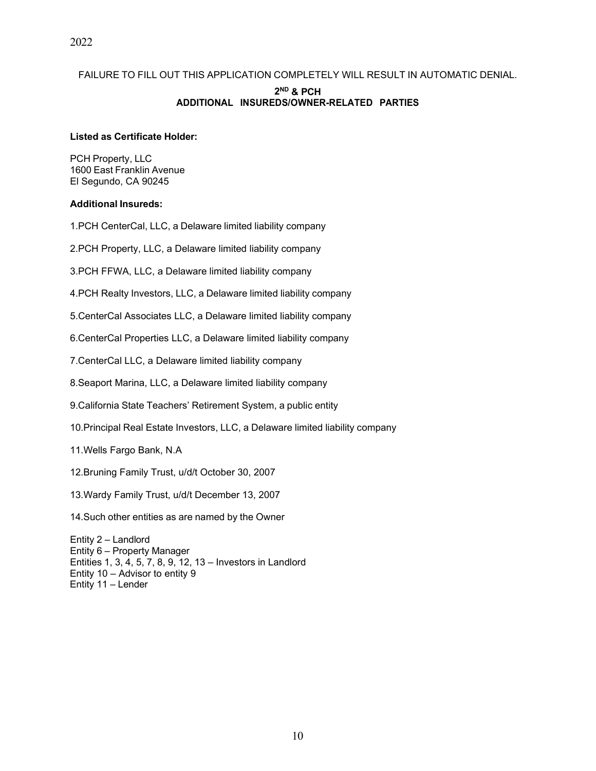### FAILURE TO FILL OUT THIS APPLICATION COMPLETELY WILL RESULT IN AUTOMATIC DENIAL. **2ND & PCH ADDITIONAL INSUREDS/OWNER-RELATED PARTIES**

#### **Listed as Certificate Holder:**

PCH Property, LLC 1600 East Franklin Avenue El Segundo, CA 90245

#### **Additional Insureds:**

1.PCH CenterCal, LLC, a Delaware limited liability company

2.PCH Property, LLC, a Delaware limited liability company

3.PCH FFWA, LLC, a Delaware limited liability company

4.PCH Realty Investors, LLC, a Delaware limited liability company

5.CenterCal Associates LLC, a Delaware limited liability company

6.CenterCal Properties LLC, a Delaware limited liability company

7.CenterCal LLC, a Delaware limited liability company

8.Seaport Marina, LLC, a Delaware limited liability company

9.California State Teachers' Retirement System, a public entity

10.Principal Real Estate Investors, LLC, a Delaware limited liability company

11.Wells Fargo Bank, N.A

12.Bruning Family Trust, u/d/t October 30, 2007

13.Wardy Family Trust, u/d/t December 13, 2007

14.Such other entities as are named by the Owner

Entity 2 – Landlord Entity 6 – Property Manager Entities 1, 3, 4, 5, 7, 8, 9, 12, 13 – Investors in Landlord Entity 10 – Advisor to entity 9 Entity 11 – Lender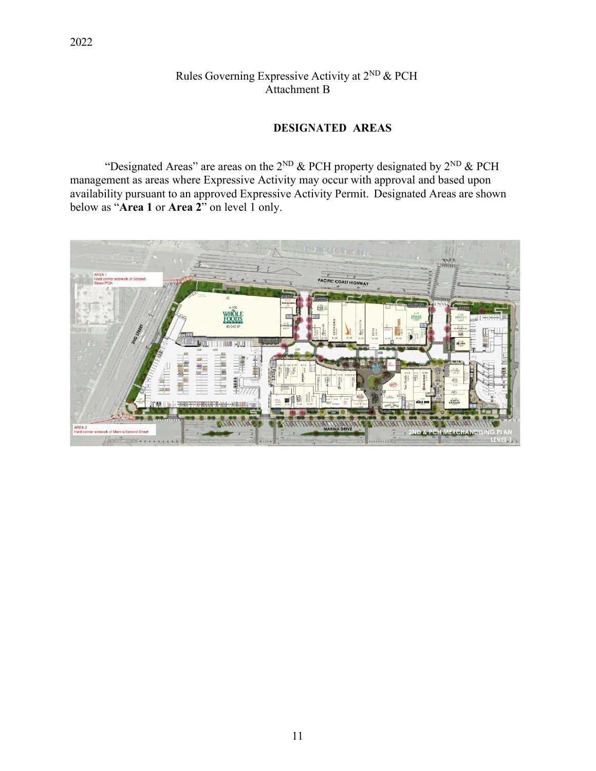## Rules Governing Expressive Activity at 2ND & PCH Attachment B

### **DESIGNATED AREAS**

"Designated Areas" are areas on the  $2^{ND}$  & PCH property designated by  $2^{ND}$  & PCH management as areas where Expressive Activity may occur with approval and based upon availability pursuant to an approved Expressive Activity Permit. Designated Areas are shown below as "**Area 1** or **Area 2**" on level 1 only.

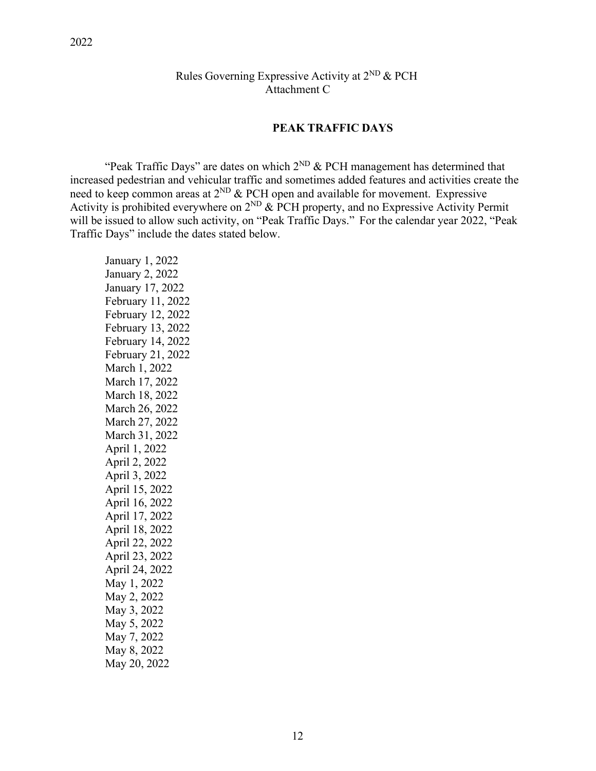### Rules Governing Expressive Activity at  $2^{ND}$  & PCH Attachment C

#### **PEAK TRAFFIC DAYS**

"Peak Traffic Days" are dates on which  $2^{ND}$  & PCH management has determined that increased pedestrian and vehicular traffic and sometimes added features and activities create the need to keep common areas at  $2^{ND}$  & PCH open and available for movement. Expressive Activity is prohibited everywhere on  $2^{ND}$  & PCH property, and no Expressive Activity Permit will be issued to allow such activity, on "Peak Traffic Days." For the calendar year 2022, "Peak Traffic Days" include the dates stated below.

January 1, 2022 January 2, 2022 January 17, 2022 February 11, 2022 February 12, 2022 February 13, 2022 February 14, 2022 February 21, 2022 March 1, 2022 March 17, 2022 March 18, 2022 March 26, 2022 March 27, 2022 March 31, 2022 April 1, 2022 April 2, 2022 April 3, 2022 April 15, 2022 April 16, 2022 April 17, 2022 April 18, 2022 April 22, 2022 April 23, 2022 April 24, 2022 May 1, 2022 May 2, 2022 May 3, 2022 May 5, 2022 May 7, 2022 May 8, 2022 May 20, 2022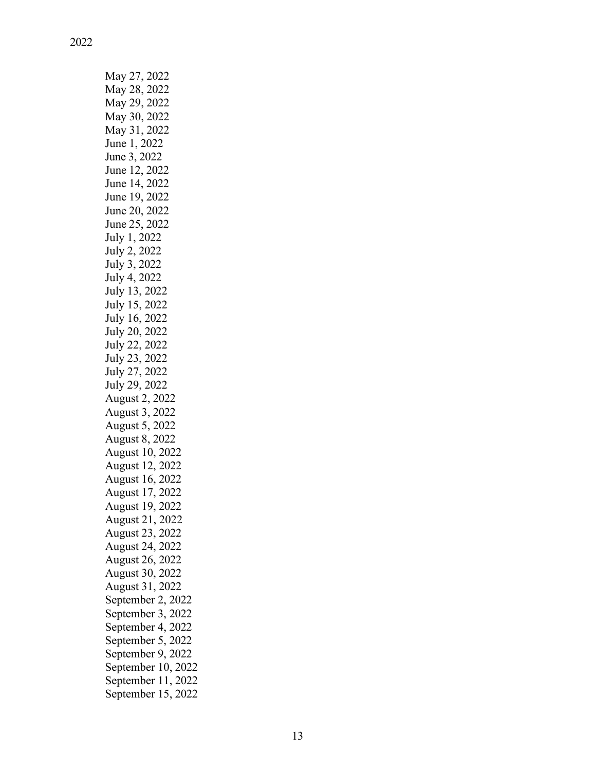| May 27, 2022       |
|--------------------|
| May 28, 2022       |
| May 29, 2022       |
| May 30, 2022       |
| May 31, 2022       |
| June 1, 2022       |
| June 3, 2022       |
| June 12, 2022      |
| June 14, 2022      |
| June 19, 2022      |
| June 20, 2022      |
| June 25, 2022      |
| July 1, 2022       |
| July 2, 2022       |
| July 3, 2022       |
| July 4, 2022       |
| July 13, 2022      |
| July 15, 2022      |
| July 16, 2022      |
| July 20, 2022      |
| July 22, 2022      |
| July 23, 2022      |
| July 27, 2022      |
| July 29, 2022      |
| August 2, 2022     |
| August 3, 2022     |
| August 5, 2022     |
| August 8, 2022     |
| August 10, 2022    |
| August 12, 2022    |
| August 16, 2022    |
| August 17, 2022    |
| August 19, 2022    |
| August 21, 2022    |
| August 23, 2022    |
| August 24, 2022    |
| August 26, 2022    |
| August 30, 2022    |
| August 31, 2022    |
| September 2, 2022  |
| September 3, 2022  |
| September 4, 2022  |
| September 5, 2022  |
| September 9, 2022  |
| September 10, 2022 |
| September 11, 2022 |
| September 15, 2022 |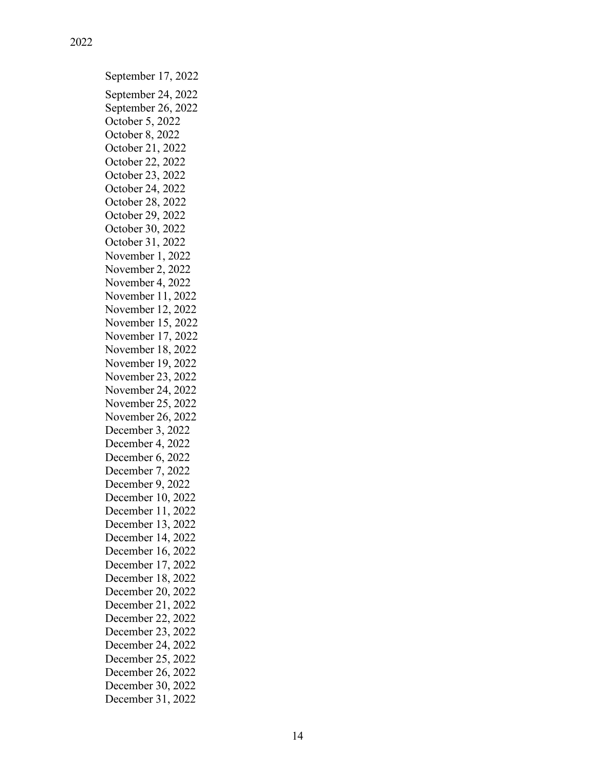September 17, 2022 September 24, 2022 September 26, 2022 October 5, 2022 October 8 , 2022 October 21, 2022 October 22, 2022 October 23, 2022 October 24, 2022 October 2 8, 2022 October 29, 2022 October 30, 2022 October 31, 2022 November 1, 2022 November 2, 2022 November 4 , 2022 November 11, 2022 November 12, 2022 November 15, 2022 November 17, 2022 November 1 8 , 2022 November 19, 2022 November 23, 2022 November 24, 2022 November 25, 2022 November 26, 2022 December 3 , 2022 December 4, 2022 December 6, 2022 December 7, 2022 December 9 , 2022 December 10 , 2022 December 11 , 2022 December 1 3 , 2022 December 1 4 , 2022 December 1 6 , 2022 December 1 7 , 2022 December 18, 2022 December 20, 2022 December 21, 2022 December 22, 2022 December 23, 2022 December 24, 2022 December 25, 2022 December 26, 2022 December 30, 2022 December 31, 2022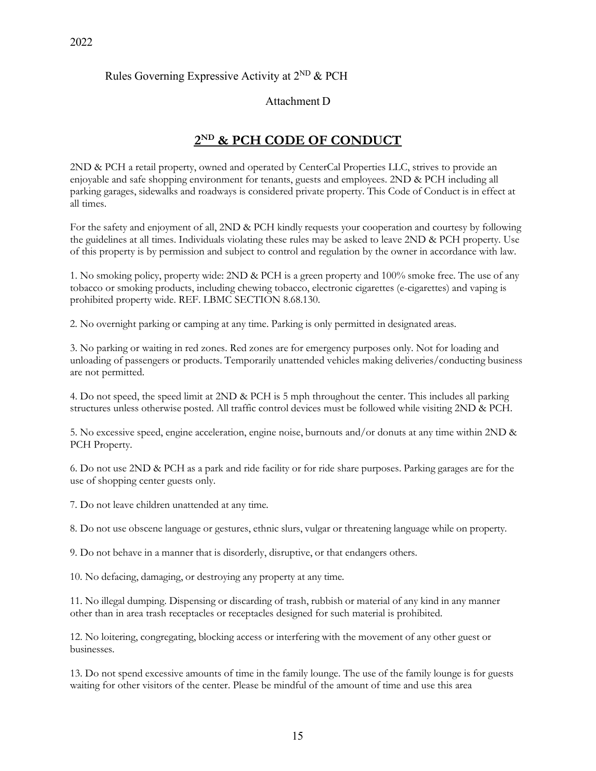#### Rules Governing Expressive Activity at  $2^{ND}$  & PCH

#### Attachment D

## **2ND & PCH CODE OF CONDUCT**

2ND & PCH a retail property, owned and operated by CenterCal Properties LLC, strives to provide an enjoyable and safe shopping environment for tenants, guests and employees. 2ND & PCH including all parking garages, sidewalks and roadways is considered private property. This Code of Conduct is in effect at all times.

For the safety and enjoyment of all, 2ND & PCH kindly requests your cooperation and courtesy by following the guidelines at all times. Individuals violating these rules may be asked to leave 2ND & PCH property. Use of this property is by permission and subject to control and regulation by the owner in accordance with law.

1. No smoking policy, property wide: 2ND & PCH is a green property and 100% smoke free. The use of any tobacco or smoking products, including chewing tobacco, electronic cigarettes (e-cigarettes) and vaping is prohibited property wide. REF. LBMC SECTION 8.68.130.

2. No overnight parking or camping at any time. Parking is only permitted in designated areas.

3. No parking or waiting in red zones. Red zones are for emergency purposes only. Not for loading and unloading of passengers or products. Temporarily unattended vehicles making deliveries/conducting business are not permitted.

4. Do not speed, the speed limit at 2ND & PCH is 5 mph throughout the center. This includes all parking structures unless otherwise posted. All traffic control devices must be followed while visiting 2ND & PCH.

5. No excessive speed, engine acceleration, engine noise, burnouts and/or donuts at any time within 2ND & PCH Property.

6. Do not use 2ND & PCH as a park and ride facility or for ride share purposes. Parking garages are for the use of shopping center guests only.

7. Do not leave children unattended at any time.

8. Do not use obscene language or gestures, ethnic slurs, vulgar or threatening language while on property.

9. Do not behave in a manner that is disorderly, disruptive, or that endangers others.

10. No defacing, damaging, or destroying any property at any time.

11. No illegal dumping. Dispensing or discarding of trash, rubbish or material of any kind in any manner other than in area trash receptacles or receptacles designed for such material is prohibited.

12. No loitering, congregating, blocking access or interfering with the movement of any other guest or businesses.

13. Do not spend excessive amounts of time in the family lounge. The use of the family lounge is for guests waiting for other visitors of the center. Please be mindful of the amount of time and use this area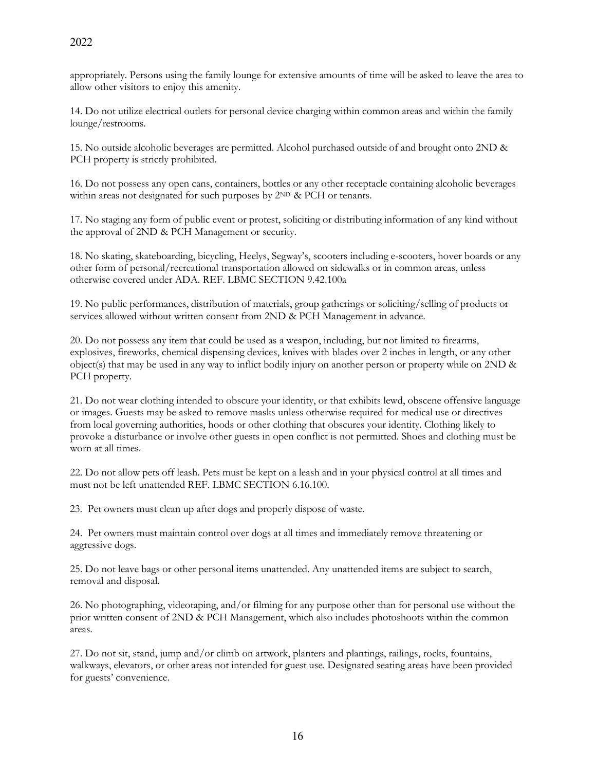appropriately. Persons using the family lounge for extensive amounts of time will be asked to leave the area to allow other visitors to enjoy this amenity.

14. Do not utilize electrical outlets for personal device charging within common areas and within the family lounge/restrooms.

15. No outside alcoholic beverages are permitted. Alcohol purchased outside of and brought onto 2ND & PCH property is strictly prohibited.

16. Do not possess any open cans, containers, bottles or any other receptacle containing alcoholic beverages within areas not designated for such purposes by  $2^{ND}$  & PCH or tenants.

17. No staging any form of public event or protest, soliciting or distributing information of any kind without the approval of 2ND & PCH Management or security.

18. No skating, skateboarding, bicycling, Heelys, Segway's, scooters including e-scooters, hover boards or any other form of personal/recreational transportation allowed on sidewalks or in common areas, unless otherwise covered under ADA. REF. LBMC SECTION 9.42.100a

19. No public performances, distribution of materials, group gatherings or soliciting/selling of products or services allowed without written consent from 2ND & PCH Management in advance.

20. Do not possess any item that could be used as a weapon, including, but not limited to firearms, explosives, fireworks, chemical dispensing devices, knives with blades over 2 inches in length, or any other object(s) that may be used in any way to inflict bodily injury on another person or property while on 2ND & PCH property.

21. Do not wear clothing intended to obscure your identity, or that exhibits lewd, obscene offensive language or images. Guests may be asked to remove masks unless otherwise required for medical use or directives from local governing authorities, hoods or other clothing that obscures your identity. Clothing likely to provoke a disturbance or involve other guests in open conflict is not permitted. Shoes and clothing must be worn at all times.

22. Do not allow pets off leash. Pets must be kept on a leash and in your physical control at all times and must not be left unattended REF. LBMC SECTION 6.16.100.

23. Pet owners must clean up after dogs and properly dispose of waste.

24. Pet owners must maintain control over dogs at all times and immediately remove threatening or aggressive dogs.

25. Do not leave bags or other personal items unattended. Any unattended items are subject to search, removal and disposal.

26. No photographing, videotaping, and/or filming for any purpose other than for personal use without the prior written consent of 2ND & PCH Management, which also includes photoshoots within the common areas.

27. Do not sit, stand, jump and/or climb on artwork, planters and plantings, railings, rocks, fountains, walkways, elevators, or other areas not intended for guest use. Designated seating areas have been provided for guests' convenience.